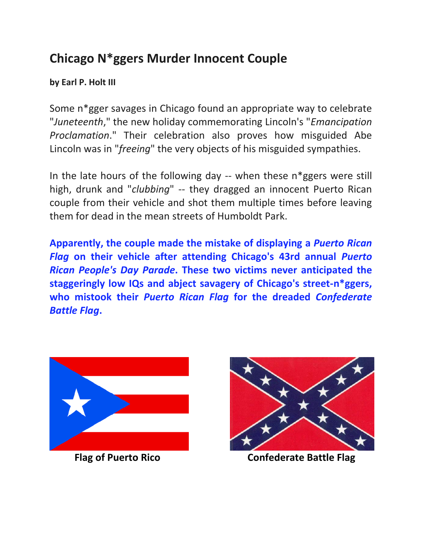## **Chicago N\*ggers Murder Innocent Couple**

**by Earl P. Holt III**

Some n\*gger savages in Chicago found an appropriate way to celebrate "*Juneteenth*," the new holiday commemorating Lincoln's "*Emancipation Proclamation*." Their celebration also proves how misguided Abe Lincoln was in "*freeing*" the very objects of his misguided sympathies.

In the late hours of the following day -- when these n\*ggers were still high, drunk and "*clubbing*" -- they dragged an innocent Puerto Rican couple from their vehicle and shot them multiple times before leaving them for dead in the mean streets of Humboldt Park.

**Apparently, the couple made the mistake of displaying a** *Puerto Rican Flag* **on their vehicle after attending Chicago's 43rd annual** *Puerto Rican People's Day Parade***. These two victims never anticipated the staggeringly low IQs and abject savagery of Chicago's street-n\*ggers, who mistook their** *Puerto Rican Flag* **for the dreaded** *Confederate Battle Flag***.**





**Flag of Puerto Rico Confederate Battle Flag**